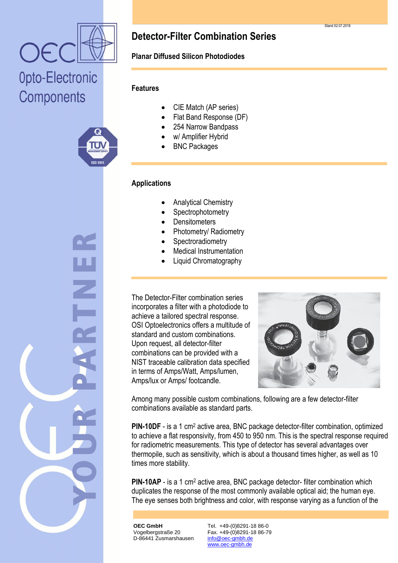



### **Detector-Filter Combination Series**

### **Planar Diffused Silicon Photodiodes**

#### **Features**

- CIE Match (AP series)
- Flat Band Response (DF)
- 254 Narrow Bandpass
- w/ Amplifier Hybrid
- BNC Packages

#### **Applications**

- Analytical Chemistry
- **Spectrophotometry**
- **Densitometers**
- Photometry/ Radiometry
- **Spectroradiometry**
- Medical Instrumentation
- Liquid Chromatography

The Detector-Filter combination series incorporates a filter with a photodiode to achieve a tailored spectral response. OSI Optoelectronics offers a multitude of standard and custom combinations. Upon request, all detector-filter combinations can be provided with a NIST traceable calibration data specified in terms of Amps/Watt, Amps/lumen, Amps/lux or Amps/ footcandle.



Among many possible custom combinations, following are a few detector-filter combinations available as standard parts.

**PIN-10DF** - is a 1 cm<sup>2</sup> active area, BNC package detector-filter combination, optimized to achieve a flat responsivity, from 450 to 950 nm. This is the spectral response required for radiometric measurements. This type of detector has several advantages over thermopile, such as sensitivity, which is about a thousand times higher, as well as 10 times more stability.

**PIN-10AP** - is a 1 cm<sup>2</sup> active area, BNC package detector- filter combination which duplicates the response of the most commonly available optical aid; the human eye. The eye senses both brightness and color, with response varying as a function of the

**OEC GmbH** Vogelbergstraße 20 D-86441 Zusmarshausen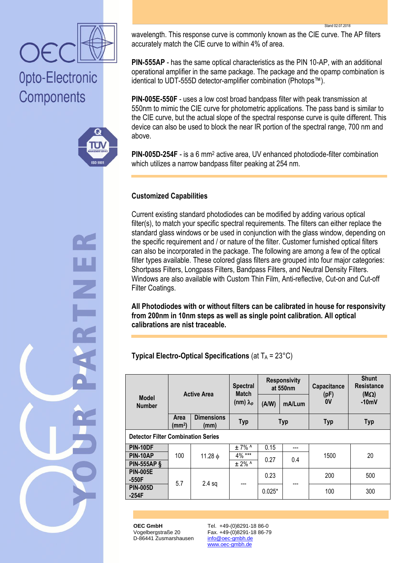



wavelength. This response curve is commonly known as the CIE curve. The AP filters accurately match the CIE curve to within 4% of area.

**PIN-555AP** - has the same optical characteristics as the PIN 10-AP, with an additional operational amplifier in the same package. The package and the opamp combination is identical to UDT-555D detector-amplifier combination (Photops™).

**PIN-005E-550F** - uses a low cost broad bandpass filter with peak transmission at 550nm to mimic the CIE curve for photometric applications. The pass band is similar to the CIE curve, but the actual slope of the spectral response curve is quite different. This device can also be used to block the near IR portion of the spectral range, 700 nm and above.

**PIN-005D-254F** - is a 6 mm<sup>2</sup> active area, UV enhanced photodiode-filter combination which utilizes a narrow bandpass filter peaking at 254 nm.

#### **Customized Capabilities**

Current existing standard photodiodes can be modified by adding various optical filter(s), to match your specific spectral requirements. The filters can either replace the standard glass windows or be used in conjunction with the glass window, depending on the specific requirement and / or nature of the filter. Customer furnished optical filters can also be incorporated in the package. The following are among a few of the optical filter types available. These colored glass filters are grouped into four major categories: Shortpass Filters, Longpass Filters, Bandpass Filters, and Neutral Density Filters. Windows are also available with Custom Thin Film, Anti-reflective, Cut-on and Cut-off Filter Coatings.

**All Photodiodes with or without filters can be calibrated in house for responsivity from 200nm in 10nm steps as well as single point calibration. All optical calibrations are nist traceable.**

**Typical Electro-Optical Specifications** (at  $T_A = 23^{\circ}C$ )

| <b>Model</b>                              | <b>Active Area</b>                |                           | <b>Spectral</b><br><b>Match</b><br>(nm) $\lambda_{p}$ | <b>Responsivity</b><br>at 550nm |        | Capacitance<br>(pF) | <b>Shunt</b><br><b>Resistance</b><br>$(M\Omega)$ |
|-------------------------------------------|-----------------------------------|---------------------------|-------------------------------------------------------|---------------------------------|--------|---------------------|--------------------------------------------------|
| <b>Number</b>                             |                                   |                           |                                                       | (A/W)                           | mA/Lum | 0V                  | $-10mV$                                          |
|                                           | <b>Area</b><br>(mm <sup>2</sup> ) | <b>Dimensions</b><br>(mm) | <b>Typ</b>                                            | <b>Typ</b>                      |        | <b>Typ</b>          | <b>Typ</b>                                       |
| <b>Detector Filter Combination Series</b> |                                   |                           |                                                       |                                 |        |                     |                                                  |
| PIN-10DF                                  |                                   |                           | $±7\%$ <sup>^</sup>                                   | 0.15                            | ---    |                     |                                                  |
| PIN-10AP                                  | 100                               | 11.28 $\phi$              | 4% ***                                                | 0.27                            | 0.4    | 1500                | 20                                               |
| <b>PIN-555AP §</b>                        |                                   |                           | $± 2\%$ ^                                             |                                 |        |                     |                                                  |
| <b>PIN-005E</b><br>$-550F$                | 5.7                               | $2.4$ sq                  | ---                                                   | 0.23                            | ---    | 200                 | 500                                              |
| <b>PIN-005D</b><br>$-254F$                |                                   |                           |                                                       | $0.025*$                        |        | 100                 | 300                                              |

**OEC GmbH** Vogelbergstraße 20 D-86441 Zusmarshausen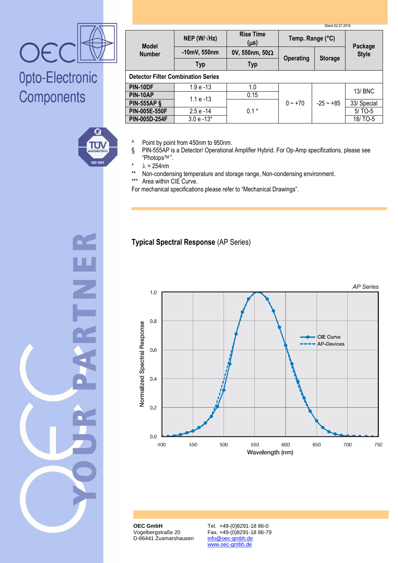



 $\frac{1}{2}$ 

|                                           |                       |                          |                  | Stand 02.07.2018 |                         |
|-------------------------------------------|-----------------------|--------------------------|------------------|------------------|-------------------------|
| <b>Model</b><br><b>Number</b>             | NEP (W/ $\sqrt{Hz}$ ) | <b>Rise Time</b><br>(µs) | Temp. Range (°C) |                  | Package<br><b>Style</b> |
|                                           | $-10mV, 550nm$        | 0V, 550nm, 50 $\Omega$   | <b>Operating</b> | <b>Storage</b>   |                         |
|                                           | Typ                   | <b>Typ</b>               |                  |                  |                         |
| <b>Detector Filter Combination Series</b> |                       |                          |                  |                  |                         |
| PIN-10DF                                  | $1.9e-13$             | 1.0                      |                  | $-25 - +85$      | <b>13/ BNC</b>          |
| PIN-10AP                                  | $1.1e - 13$           | 0.15                     | $0 - +70$        |                  |                         |
| PIN-555AP $\S$                            |                       | $0.1*$                   |                  |                  | 33/ Special             |
| PIN-005E-550F                             | $2.5e-14$             |                          |                  |                  | $5/$ TO-5               |
| PIN-005D-254F                             | $3.0 e - 13*$         |                          |                  |                  | 18/TO-5                 |

- ^ Point by point from 450nm to 950nm.<br>§ PIN-555AP is a Detector/ Operational
- PIN-555AP is a Detector/ Operational Amplifier Hybrid. For Op-Amp specifications, please see "PhotopsTM ".
- \*  $\lambda = 254$ nm
- \*\* Non-condensing temperature and storage range, Non-condensing environment.<br>\*\*\* Area within CIF Curve
- Area within CIE Curve.
- For mechanical specifications please refer to "Mechanical Drawings".

#### **Typical Spectral Response** (AP Series)



**OEC GmbH** Vogelbergstraße 20 D-86441 Zusmarshausen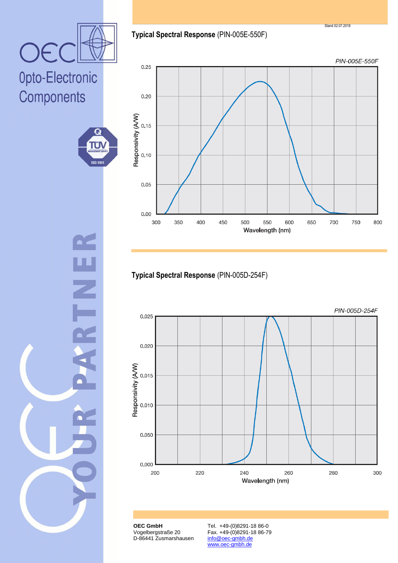**OEC GmbH** Vogelbergstraße 20 D-86441 Zusmarshausen

Tel. +49-(0)8291-18 86-0 Fax. +49-(0)8291-18 86-79 info@oec-gmbh.de www.oec-gmbh.de

### **Typical Spectral Response** (PIN-005E-550F)

**Typical Spectral Response** (PIN-005D-254F)

400

 $0.00$ 

300

350



500

450

550

Wavelength (nm)

600

650

700

750

800



Stand 02.07.2018

Opto-Electronic

 $\equiv$ 

Components

OE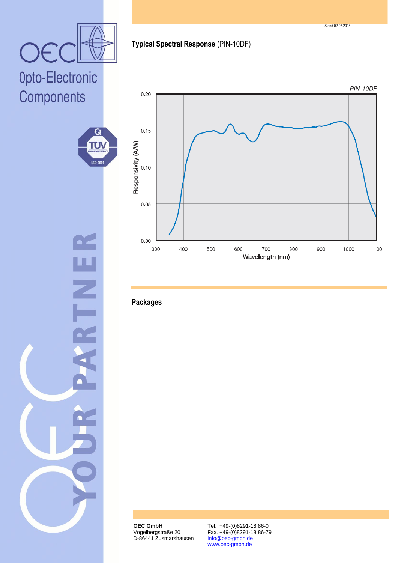



Z



**Typical Spectral Response** (PIN-10DF)

### **Packages**

**OEC GmbH** Vogelbergstraße 20 D-86441 Zusmarshausen

Tel. +49-(0)8291-18 86-0 Fax. +49-(0)8291-18 86-79 info@oec-gmbh.de www.oec-gmbh.de

Stand 02.07.2018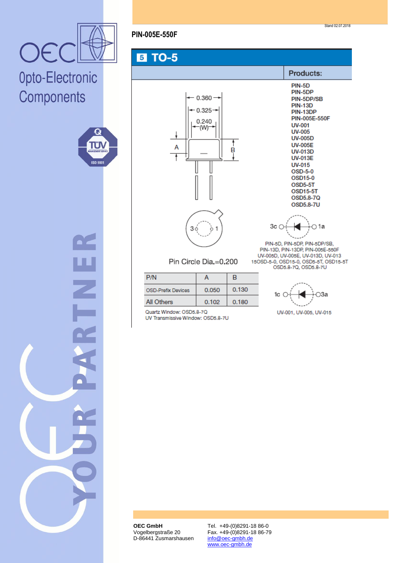



**PIN-005E-550F**

#### **TO-5**  $\boxed{5}$



PIN-5D PIN-5DP PIN-5DP/SB **PIN-13D** PIN-13DP **PIN-005E-550F UV-001 UV-005 UV-005D UV-005E UV-013D UV-013E UV-015 OSD-5-0 OSD15-0** OSD5-5T **OSD15-5T** OSD5.8-7Q **OSD5.8-7U** 

Products:



PIN-5D, PIN-5DP, PIN-5DP/SB, PIN-13D, PIN-13DP, PIN-005E-550F 



UV-001, UV-005, UV-015

**All Others** 0.102

Pin Circle Dia.=0.200

 $\overline{A}$ 

0.050

 $\overline{B}$ 

0.130

0.180

Quartz Window: OSD5.8-7Q

**OSD-Prefix Devices** 

 $P/N$ 

UV Transmissive Window: OSD5.8-7U

**OEC GmbH** Vogelbergstraße 20 D-86441 Zusmarshausen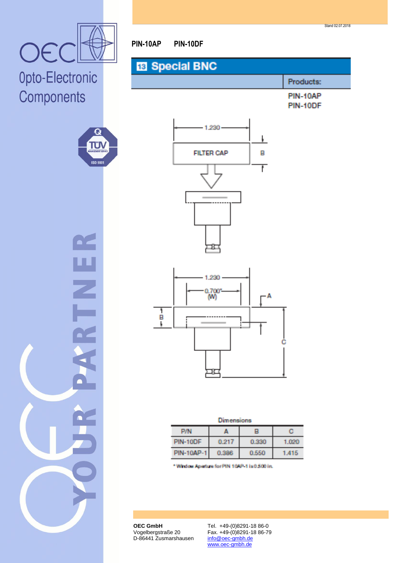



 $\overline{\mathbb{Z}}$ 



**PIN-10AP PIN-10DF**

**13 Special BNC** 



|  | rensimo |  |
|--|---------|--|

| <b>P/N</b>      | а            | в.     | c.    |
|-----------------|--------------|--------|-------|
| <b>PIN-10DF</b> | 0.217        | 0.330  | 1.020 |
| PIN-10AP-1      | <b>TIBUR</b> | n sso. | 1.415 |

\*Window Aperture for PIN 10AP-1 is 0.500 in.

**OEC GmbH** Vogelbergstraße 20 D-86441 Zusmarshausen Tel. +49-(0)8291-18 86-0 Fax. +49-(0)8291-18 86-79 info@oec-gmbh.de www.oec-gmbh.de

Products:

**PIN-10AP PIN-10DF**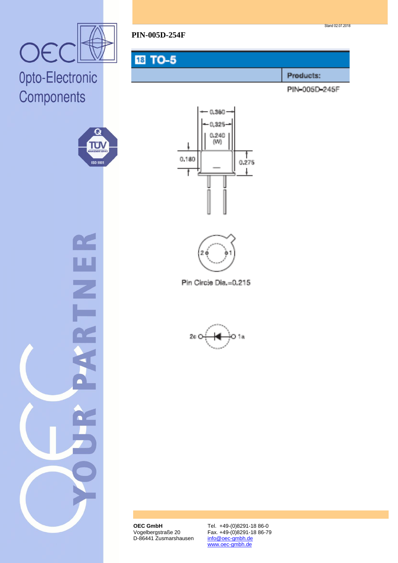



Z

#### **PIN-005D-254F**

### **18 TO-5**

Products:

PIN-005D-245F





Pin Circle Dia.=0.215



**OEC GmbH** Vogelbergstraße 20 D-86441 Zusmarshausen